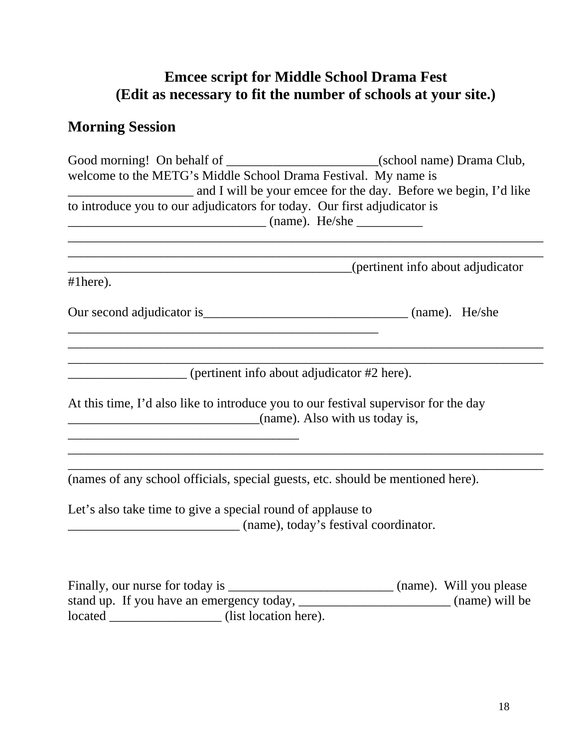## **Emcee script for Middle School Drama Fest (Edit as necessary to fit the number of schools at your site.)**

## **Morning Session**

| Good morning! On behalf of __________________________(school name) Drama Club,                                                                                                                                                         |                |  |  |  |
|----------------------------------------------------------------------------------------------------------------------------------------------------------------------------------------------------------------------------------------|----------------|--|--|--|
| welcome to the METG's Middle School Drama Festival. My name is<br>and I will be your emcee for the day. Before we begin, I'd like<br>to introduce you to our adjudicators for today. Our first adjudicator is<br>manner (name). He/she |                |  |  |  |
|                                                                                                                                                                                                                                        |                |  |  |  |
|                                                                                                                                                                                                                                        |                |  |  |  |
| (pertinent info about adjudicator)                                                                                                                                                                                                     |                |  |  |  |
| $#1$ here).                                                                                                                                                                                                                            |                |  |  |  |
|                                                                                                                                                                                                                                        |                |  |  |  |
|                                                                                                                                                                                                                                        |                |  |  |  |
|                                                                                                                                                                                                                                        |                |  |  |  |
|                                                                                                                                                                                                                                        |                |  |  |  |
| (pertinent info about adjudicator #2 here).                                                                                                                                                                                            |                |  |  |  |
|                                                                                                                                                                                                                                        |                |  |  |  |
| At this time, I'd also like to introduce you to our festival supervisor for the day                                                                                                                                                    |                |  |  |  |
| $\frac{1}{2}$ (name). Also with us today is,                                                                                                                                                                                           |                |  |  |  |
|                                                                                                                                                                                                                                        |                |  |  |  |
|                                                                                                                                                                                                                                        |                |  |  |  |
|                                                                                                                                                                                                                                        |                |  |  |  |
| (names of any school officials, special guests, etc. should be mentioned here).                                                                                                                                                        |                |  |  |  |
|                                                                                                                                                                                                                                        |                |  |  |  |
| Let's also take time to give a special round of applause to                                                                                                                                                                            |                |  |  |  |
|                                                                                                                                                                                                                                        |                |  |  |  |
|                                                                                                                                                                                                                                        |                |  |  |  |
|                                                                                                                                                                                                                                        |                |  |  |  |
|                                                                                                                                                                                                                                        |                |  |  |  |
| stand up. If you have an emergency today,                                                                                                                                                                                              | (name) will be |  |  |  |

located \_\_\_\_\_\_\_\_\_\_\_\_\_\_\_\_\_ (list location here).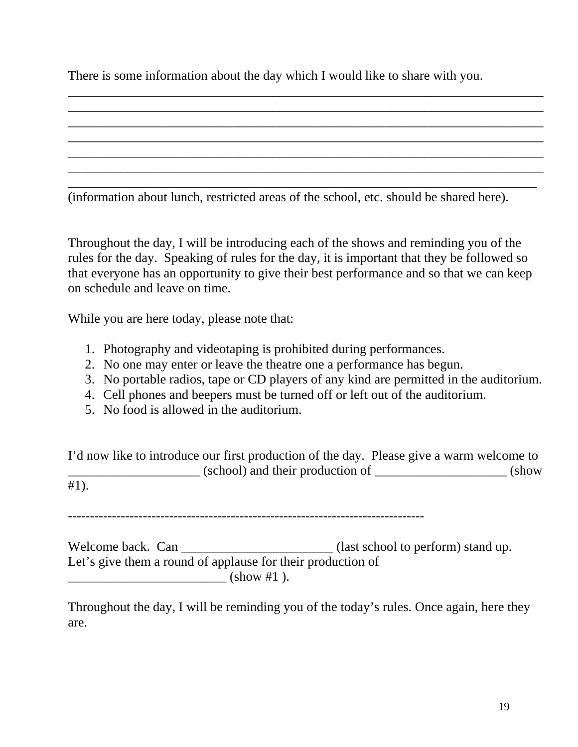There is some information about the day which I would like to share with you.

\_\_\_\_\_\_\_\_\_\_\_\_\_\_\_\_\_\_\_\_\_\_\_\_\_\_\_\_\_\_\_\_\_\_\_\_\_\_\_\_\_\_\_\_\_\_\_\_\_\_\_\_\_\_\_\_\_\_\_\_\_\_\_\_\_\_\_\_\_\_\_\_ \_\_\_\_\_\_\_\_\_\_\_\_\_\_\_\_\_\_\_\_\_\_\_\_\_\_\_\_\_\_\_\_\_\_\_\_\_\_\_\_\_\_\_\_\_\_\_\_\_\_\_\_\_\_\_\_\_\_\_\_\_\_\_\_\_\_\_\_\_\_\_\_ \_\_\_\_\_\_\_\_\_\_\_\_\_\_\_\_\_\_\_\_\_\_\_\_\_\_\_\_\_\_\_\_\_\_\_\_\_\_\_\_\_\_\_\_\_\_\_\_\_\_\_\_\_\_\_\_\_\_\_\_\_\_\_\_\_\_\_\_\_\_\_\_ \_\_\_\_\_\_\_\_\_\_\_\_\_\_\_\_\_\_\_\_\_\_\_\_\_\_\_\_\_\_\_\_\_\_\_\_\_\_\_\_\_\_\_\_\_\_\_\_\_\_\_\_\_\_\_\_\_\_\_\_\_\_\_\_\_\_\_\_\_\_\_\_ \_\_\_\_\_\_\_\_\_\_\_\_\_\_\_\_\_\_\_\_\_\_\_\_\_\_\_\_\_\_\_\_\_\_\_\_\_\_\_\_\_\_\_\_\_\_\_\_\_\_\_\_\_\_\_\_\_\_\_\_\_\_\_\_\_\_\_\_\_\_\_\_ \_\_\_\_\_\_\_\_\_\_\_\_\_\_\_\_\_\_\_\_\_\_\_\_\_\_\_\_\_\_\_\_\_\_\_\_\_\_\_\_\_\_\_\_\_\_\_\_\_\_\_\_\_\_\_\_\_\_\_\_\_\_\_\_\_\_\_\_\_\_\_\_ \_\_\_\_\_\_\_\_\_\_\_\_\_\_\_\_\_\_\_\_\_\_\_\_\_\_\_\_\_\_\_\_\_\_\_\_\_\_\_\_\_\_\_\_\_\_\_\_\_\_\_\_\_\_\_\_\_\_\_\_\_\_\_\_\_\_\_\_\_\_\_

(information about lunch, restricted areas of the school, etc. should be shared here).

Throughout the day, I will be introducing each of the shows and reminding you of the rules for the day. Speaking of rules for the day, it is important that they be followed so that everyone has an opportunity to give their best performance and so that we can keep on schedule and leave on time.

While you are here today, please note that:

- 1. Photography and videotaping is prohibited during performances.
- 2. No one may enter or leave the theatre one a performance has begun.
- 3. No portable radios, tape or CD players of any kind are permitted in the auditorium.
- 4. Cell phones and beepers must be turned off or left out of the auditorium.
- 5. No food is allowed in the auditorium.

I'd now like to introduce our first production of the day. Please give a warm welcome to \_\_\_\_\_\_\_\_\_\_\_\_\_\_\_\_\_\_\_\_ (school) and their production of \_\_\_\_\_\_\_\_\_\_\_\_\_\_\_\_\_\_\_\_ (show #1).

---------------------------------------------------------------------------------

Welcome back. Can \_\_\_\_\_\_\_\_\_\_\_\_\_\_\_\_\_\_\_\_\_\_\_\_\_\_ (last school to perform) stand up. Let's give them a round of applause for their production of  $\frac{1}{2}$  (show #1 ).

Throughout the day, I will be reminding you of the today's rules. Once again, here they are.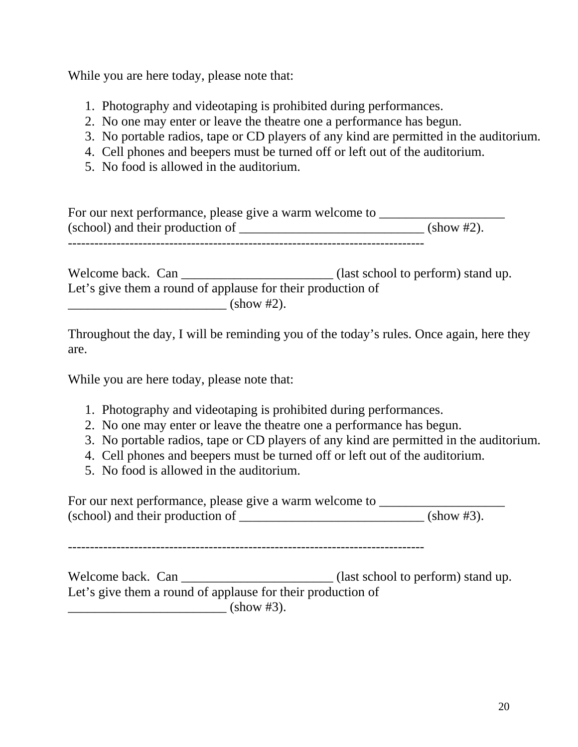While you are here today, please note that:

- 1. Photography and videotaping is prohibited during performances.
- 2. No one may enter or leave the theatre one a performance has begun.
- 3. No portable radios, tape or CD players of any kind are permitted in the auditorium.
- 4. Cell phones and beepers must be turned off or left out of the auditorium.
- 5. No food is allowed in the auditorium.

| For our next performance, please give a warm welcome to |                      |
|---------------------------------------------------------|----------------------|
| (school) and their production of                        | $(\text{show }#2)$ . |
|                                                         |                      |

Welcome back. Can \_\_\_\_\_\_\_\_\_\_\_\_\_\_\_\_\_\_\_\_\_\_\_ (last school to perform) stand up. Let's give them a round of applause for their production of  $\frac{\text{-(show #2)}}{\text{-(show #2)}}$ .

Throughout the day, I will be reminding you of the today's rules. Once again, here they are.

While you are here today, please note that:

- 1. Photography and videotaping is prohibited during performances.
- 2. No one may enter or leave the theatre one a performance has begun.
- 3. No portable radios, tape or CD players of any kind are permitted in the auditorium.
- 4. Cell phones and beepers must be turned off or left out of the auditorium.
- 5. No food is allowed in the auditorium.

For our next performance, please give a warm welcome to \_\_\_\_\_\_\_\_\_\_\_\_\_\_\_\_\_\_\_\_\_\_\_\_ (school) and their production of \_\_\_\_\_\_\_\_\_\_\_\_\_\_\_\_\_\_\_\_\_\_\_\_\_\_\_\_ (show #3).

---------------------------------------------------------------------------------

Welcome back. Can \_\_\_\_\_\_\_\_\_\_\_\_\_\_\_\_\_\_\_\_\_\_\_\_ (last school to perform) stand up. Let's give them a round of applause for their production of \_\_\_\_\_\_\_\_\_\_\_\_\_\_\_\_\_\_\_\_\_\_\_\_ (show #3).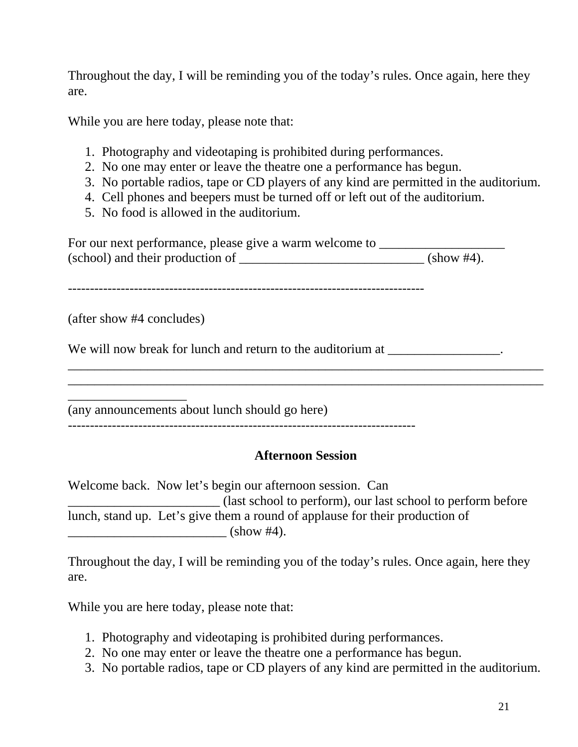Throughout the day, I will be reminding you of the today's rules. Once again, here they are.

While you are here today, please note that:

- 1. Photography and videotaping is prohibited during performances.
- 2. No one may enter or leave the theatre one a performance has begun.
- 3. No portable radios, tape or CD players of any kind are permitted in the auditorium.
- 4. Cell phones and beepers must be turned off or left out of the auditorium.
- 5. No food is allowed in the auditorium.

For our next performance, please give a warm welcome to \_\_\_\_\_\_\_\_\_\_\_\_\_\_\_\_\_\_\_\_\_\_\_\_ (school) and their production of \_\_\_\_\_\_\_\_\_\_\_\_\_\_\_\_\_\_\_\_\_\_\_\_\_\_\_\_ (show #4).

---------------------------------------------------------------------------------

(after show #4 concludes)

\_\_\_\_\_\_\_\_\_\_\_\_\_\_\_\_\_\_

We will now break for lunch and return to the auditorium at  $\blacksquare$ 

(any announcements about lunch should go here)

-------------------------------------------------------------------------------

## **Afternoon Session**

\_\_\_\_\_\_\_\_\_\_\_\_\_\_\_\_\_\_\_\_\_\_\_\_\_\_\_\_\_\_\_\_\_\_\_\_\_\_\_\_\_\_\_\_\_\_\_\_\_\_\_\_\_\_\_\_\_\_\_\_\_\_\_\_\_\_\_\_\_\_\_\_ \_\_\_\_\_\_\_\_\_\_\_\_\_\_\_\_\_\_\_\_\_\_\_\_\_\_\_\_\_\_\_\_\_\_\_\_\_\_\_\_\_\_\_\_\_\_\_\_\_\_\_\_\_\_\_\_\_\_\_\_\_\_\_\_\_\_\_\_\_\_\_\_

Welcome back. Now let's begin our afternoon session. Can \_\_\_\_\_\_\_\_\_\_\_\_\_\_\_\_\_\_\_\_\_\_\_ (last school to perform), our last school to perform before lunch, stand up. Let's give them a round of applause for their production of \_\_\_\_\_\_\_\_\_\_\_\_\_\_\_\_\_\_\_\_\_\_\_\_ (show #4).

Throughout the day, I will be reminding you of the today's rules. Once again, here they are.

While you are here today, please note that:

- 1. Photography and videotaping is prohibited during performances.
- 2. No one may enter or leave the theatre one a performance has begun.
- 3. No portable radios, tape or CD players of any kind are permitted in the auditorium.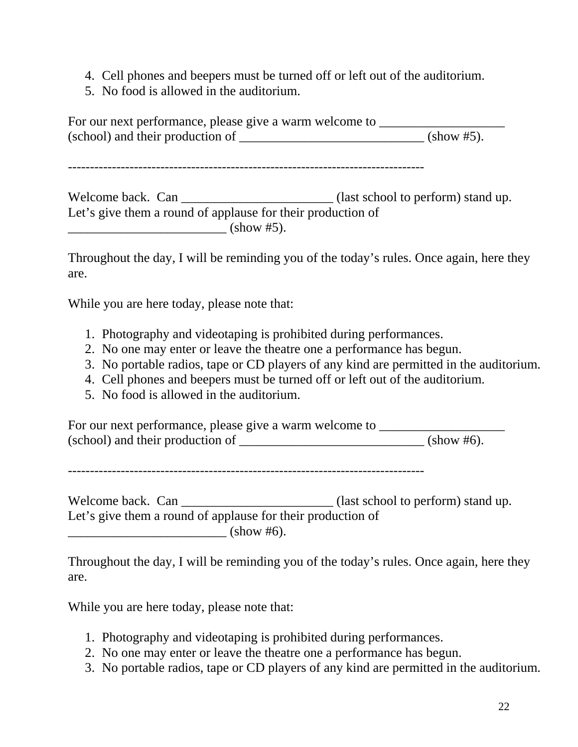- 4. Cell phones and beepers must be turned off or left out of the auditorium.
- 5. No food is allowed in the auditorium.

For our next performance, please give a warm welcome to \_\_\_\_\_\_\_\_\_\_\_\_\_\_\_\_\_\_\_\_\_\_\_\_  $(school)$  and their production of  $\frac{\ }{\ }$ 

---------------------------------------------------------------------------------

Welcome back. Can \_\_\_\_\_\_\_\_\_\_\_\_\_\_\_\_\_\_\_\_\_\_\_\_\_\_\_(last school to perform) stand up. Let's give them a round of applause for their production of \_\_\_\_\_\_\_\_\_\_\_\_\_\_\_\_\_\_\_\_\_\_\_\_ (show #5).

Throughout the day, I will be reminding you of the today's rules. Once again, here they are.

While you are here today, please note that:

- 1. Photography and videotaping is prohibited during performances.
- 2. No one may enter or leave the theatre one a performance has begun.
- 3. No portable radios, tape or CD players of any kind are permitted in the auditorium.
- 4. Cell phones and beepers must be turned off or left out of the auditorium.
- 5. No food is allowed in the auditorium.

For our next performance, please give a warm welcome to \_\_\_\_\_\_\_\_\_\_\_\_\_\_\_\_\_\_\_\_\_\_\_\_  $(school)$  and their production of  $\frac{\qquad \qquad (show \#6)}{s}$ .

---------------------------------------------------------------------------------

Welcome back. Can \_\_\_\_\_\_\_\_\_\_\_\_\_\_\_\_\_\_\_\_\_\_\_\_\_ (last school to perform) stand up. Let's give them a round of applause for their production of \_\_\_\_\_\_\_\_\_\_\_\_\_\_\_\_\_\_\_\_\_\_\_\_ (show #6).

Throughout the day, I will be reminding you of the today's rules. Once again, here they are.

While you are here today, please note that:

- 1. Photography and videotaping is prohibited during performances.
- 2. No one may enter or leave the theatre one a performance has begun.
- 3. No portable radios, tape or CD players of any kind are permitted in the auditorium.